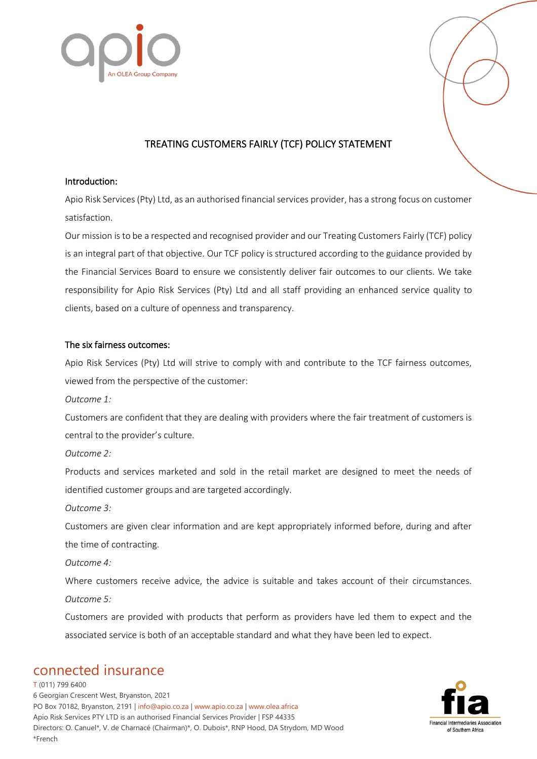

## TREATING CUSTOMERS FAIRLY (TCF) POLICY STATEMENT

#### Introduction:

Apio Risk Services (Pty) Ltd, as an authorised financial services provider, has a strong focus on customer satisfaction.

Our mission is to be a respected and recognised provider and our Treating Customers Fairly (TCF) policy is an integral part of that objective. Our TCF policy is structured according to the guidance provided by the Financial Services Board to ensure we consistently deliver fair outcomes to our clients. We take responsibility for Apio Risk Services (Pty) Ltd and all staff providing an enhanced service quality to clients, based on a culture of openness and transparency.

#### The six fairness outcomes:

Apio Risk Services (Pty) Ltd will strive to comply with and contribute to the TCF fairness outcomes, viewed from the perspective of the customer:

*Outcome 1:* 

Customers are confident that they are dealing with providers where the fair treatment of customers is central to the provider's culture.

*Outcome 2:* 

Products and services marketed and sold in the retail market are designed to meet the needs of identified customer groups and are targeted accordingly.

*Outcome 3:* 

Customers are given clear information and are kept appropriately informed before, during and after the time of contracting.

*Outcome 4:* 

Where customers receive advice, the advice is suitable and takes account of their circumstances. *Outcome 5:* 

Customers are provided with products that perform as providers have led them to expect and the associated service is both of an acceptable standard and what they have been led to expect.

# connected insurance

T (011) 799 6400 6 Georgian Crescent West, Bryanston, 2021 PO Box 70182, Bryanston, 2191 | info@apio.co.za | [www.apio.co.za](http://www.apio.co.za/) | www.olea.africa Apio Risk Services PTY LTD is an authorised Financial Services Provider | FSP 44335 Directors: O. Canuel\*, V. de Charnacé (Chairman)\*, O. Dubois\*, RNP Hood, DA Strydom, MD Wood \*French

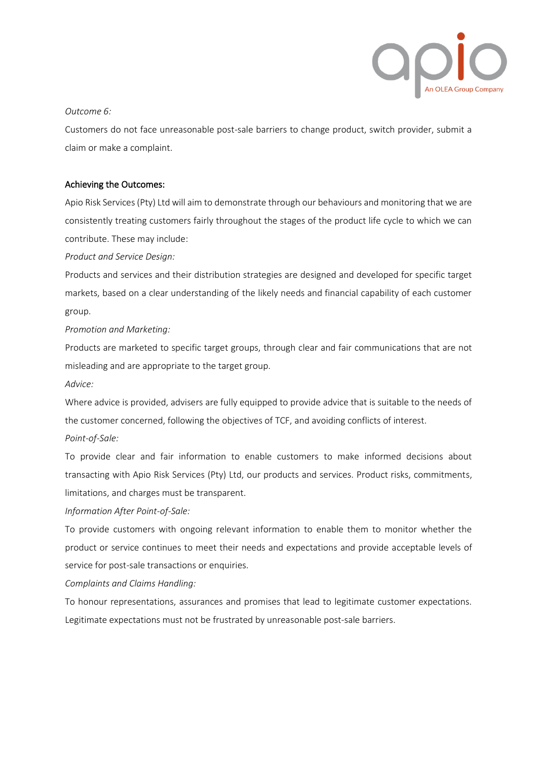

#### *Outcome 6:*

Customers do not face unreasonable post-sale barriers to change product, switch provider, submit a claim or make a complaint.

#### Achieving the Outcomes:

Apio Risk Services (Pty) Ltd will aim to demonstrate through our behaviours and monitoring that we are consistently treating customers fairly throughout the stages of the product life cycle to which we can contribute. These may include:

*Product and Service Design:*

Products and services and their distribution strategies are designed and developed for specific target markets, based on a clear understanding of the likely needs and financial capability of each customer group.

*Promotion and Marketing:* 

Products are marketed to specific target groups, through clear and fair communications that are not misleading and are appropriate to the target group.

*Advice:* 

Where advice is provided, advisers are fully equipped to provide advice that is suitable to the needs of the customer concerned, following the objectives of TCF, and avoiding conflicts of interest. *Point-of-Sale:* 

To provide clear and fair information to enable customers to make informed decisions about transacting with Apio Risk Services (Pty) Ltd, our products and services. Product risks, commitments, limitations, and charges must be transparent.

#### *Information After Point-of-Sale:*

To provide customers with ongoing relevant information to enable them to monitor whether the product or service continues to meet their needs and expectations and provide acceptable levels of service for post-sale transactions or enquiries.

*Complaints and Claims Handling:* 

To honour representations, assurances and promises that lead to legitimate customer expectations. Legitimate expectations must not be frustrated by unreasonable post-sale barriers.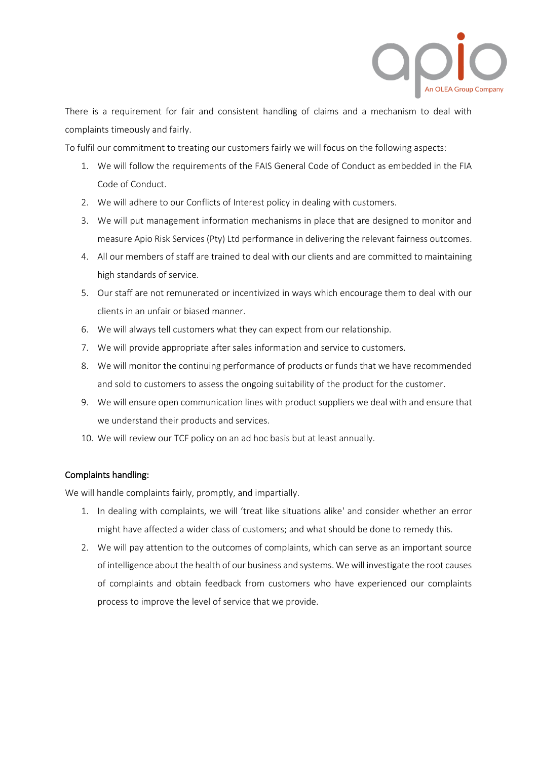

There is a requirement for fair and consistent handling of claims and a mechanism to deal with complaints timeously and fairly.

To fulfil our commitment to treating our customers fairly we will focus on the following aspects:

- 1. We will follow the requirements of the FAIS General Code of Conduct as embedded in the FIA Code of Conduct.
- 2. We will adhere to our Conflicts of Interest policy in dealing with customers.
- 3. We will put management information mechanisms in place that are designed to monitor and measure Apio Risk Services (Pty) Ltd performance in delivering the relevant fairness outcomes.
- 4. All our members of staff are trained to deal with our clients and are committed to maintaining high standards of service.
- 5. Our staff are not remunerated or incentivized in ways which encourage them to deal with our clients in an unfair or biased manner.
- 6. We will always tell customers what they can expect from our relationship.
- 7. We will provide appropriate after sales information and service to customers.
- 8. We will monitor the continuing performance of products or funds that we have recommended and sold to customers to assess the ongoing suitability of the product for the customer.
- 9. We will ensure open communication lines with product suppliers we deal with and ensure that we understand their products and services.
- 10. We will review our TCF policy on an ad hoc basis but at least annually.

### Complaints handling:

We will handle complaints fairly, promptly, and impartially.

- 1. In dealing with complaints, we will 'treat like situations alike' and consider whether an error might have affected a wider class of customers; and what should be done to remedy this.
- 2. We will pay attention to the outcomes of complaints, which can serve as an important source of intelligence about the health of our business and systems. We will investigate the root causes of complaints and obtain feedback from customers who have experienced our complaints process to improve the level of service that we provide.